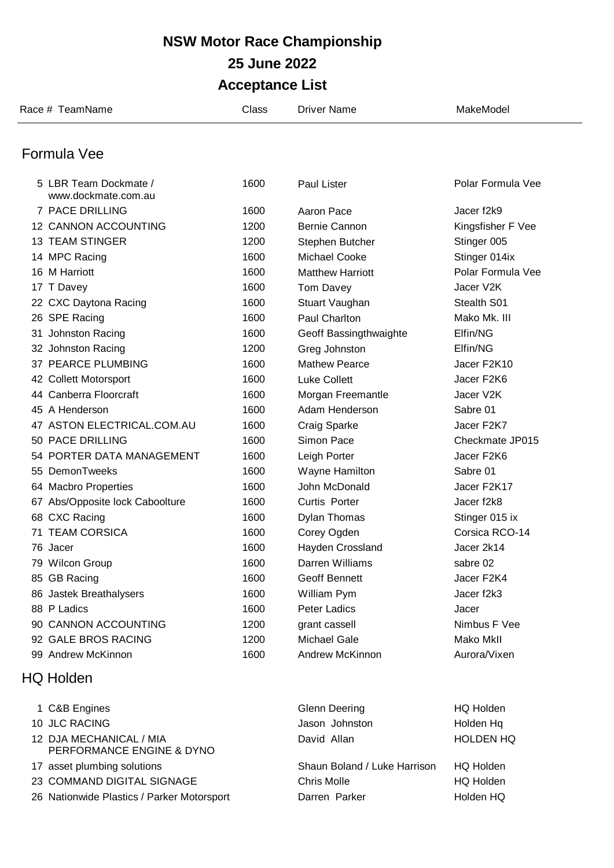| Race # TeamName                              | Class | <b>Driver Name</b>      | MakeModel         |
|----------------------------------------------|-------|-------------------------|-------------------|
| Formula Vee                                  |       |                         |                   |
|                                              |       |                         |                   |
| 5 LBR Team Dockmate /<br>www.dockmate.com.au | 1600  | Paul Lister             | Polar Formula Vee |
| 7 PACE DRILLING                              | 1600  | Aaron Pace              | Jacer f2k9        |
| 12 CANNON ACCOUNTING                         | 1200  | Bernie Cannon           | Kingsfisher F Vee |
| <b>13 TEAM STINGER</b>                       | 1200  | Stephen Butcher         | Stinger 005       |
| 14 MPC Racing                                | 1600  | <b>Michael Cooke</b>    | Stinger 014ix     |
| 16 M Harriott                                | 1600  | <b>Matthew Harriott</b> | Polar Formula Vee |
| 17 T Davey                                   | 1600  | Tom Davey               | Jacer V2K         |
| 22 CXC Daytona Racing                        | 1600  | Stuart Vaughan          | Stealth S01       |
| 26 SPE Racing                                | 1600  | Paul Charlton           | Mako Mk. III      |
| 31 Johnston Racing                           | 1600  | Geoff Bassingthwaighte  | Elfin/NG          |
| 32 Johnston Racing                           | 1200  | Greg Johnston           | Elfin/NG          |
| 37 PEARCE PLUMBING                           | 1600  | <b>Mathew Pearce</b>    | Jacer F2K10       |
| 42 Collett Motorsport                        | 1600  | <b>Luke Collett</b>     | Jacer F2K6        |
| 44 Canberra Floorcraft                       | 1600  | Morgan Freemantle       | Jacer V2K         |
| 45 A Henderson                               | 1600  | Adam Henderson          | Sabre 01          |
| 47 ASTON ELECTRICAL.COM.AU                   | 1600  | Craig Sparke            | Jacer F2K7        |
| 50 PACE DRILLING                             | 1600  | Simon Pace              | Checkmate JP015   |
| 54 PORTER DATA MANAGEMENT                    | 1600  | Leigh Porter            | Jacer F2K6        |
| 55 DemonTweeks                               | 1600  | Wayne Hamilton          | Sabre 01          |
| 64 Macbro Properties                         | 1600  | John McDonald           | Jacer F2K17       |
| 67 Abs/Opposite lock Caboolture              | 1600  | Curtis Porter           | Jacer f2k8        |
| 68 CXC Racing                                | 1600  | <b>Dylan Thomas</b>     | Stinger 015 ix    |
| <b>71 TEAM CORSICA</b>                       | 1600  | Corey Ogden             | Corsica RCO-14    |
| 76 Jacer                                     | 1600  | Hayden Crossland        | Jacer 2k14        |
| 79 Wilcon Group                              | 1600  | Darren Williams         | sabre 02          |
| 85 GB Racing                                 | 1600  | Geoff Bennett           | Jacer F2K4        |
| 86 Jastek Breathalysers                      | 1600  | William Pym             | Jacer f2k3        |
| 88 P Ladics                                  | 1600  | Peter Ladics            | Jacer             |
| 90 CANNON ACCOUNTING                         | 1200  | grant cassell           | Nimbus F Vee      |
| 92 GALE BROS RACING                          | 1200  | Michael Gale            | Mako MkII         |
| 99 Andrew McKinnon                           | 1600  | Andrew McKinnon         | Aurora/Vixen      |

David Allan HOLDEN HQ

- 1 C&B Engines Glenn Deering HQ Holden 10 JLC RACING **Internal Contract Contract Contract Contract Contract Contract Contract Contract Contract Contract Contract Contract Contract Contract Contract Contract Contract Contract Contract Contract Contract Contract**  DJA MECHANICAL / MIA PERFORMANCE ENGINE & DYNO 17 asset plumbing solutions **Shaun Boland / Luke Harrison** HQ Holden 23 COMMAND DIGITAL SIGNAGE **Chris Molle** Chris Molle HQ Holden
- 26 Nationwide Plastics / Parker Motorsport Darren Parker Holden HQ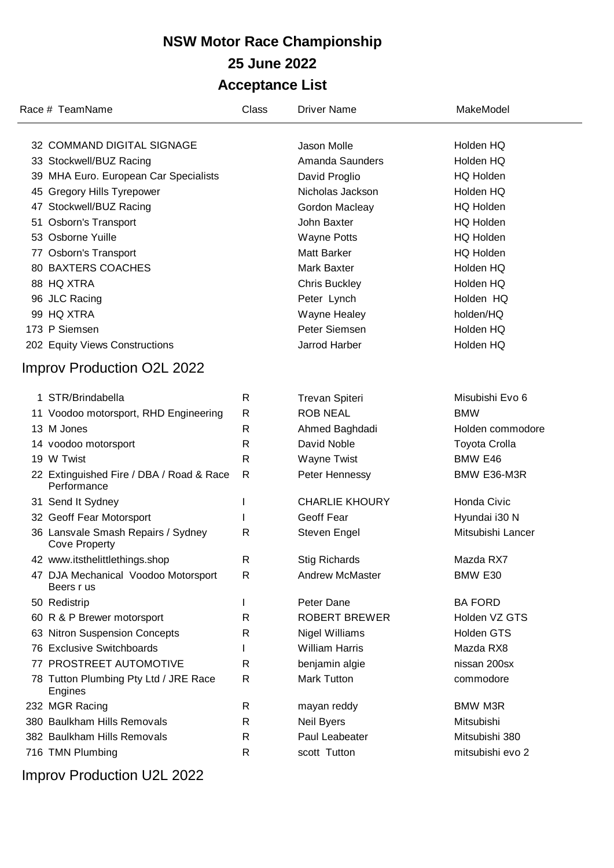| Race # TeamName                                            | Class        | <b>Driver Name</b>     | MakeModel            |
|------------------------------------------------------------|--------------|------------------------|----------------------|
| 32 COMMAND DIGITAL SIGNAGE                                 |              | Jason Molle            | Holden HQ            |
| 33 Stockwell/BUZ Racing                                    |              | Amanda Saunders        | Holden HQ            |
| 39 MHA Euro. European Car Specialists                      |              | David Proglio          | <b>HQ Holden</b>     |
| 45 Gregory Hills Tyrepower                                 |              | Nicholas Jackson       | Holden HQ            |
| 47 Stockwell/BUZ Racing                                    |              | Gordon Macleay         | <b>HQ Holden</b>     |
| 51 Osborn's Transport                                      |              | John Baxter            | <b>HQ Holden</b>     |
| 53 Osborne Yuille                                          |              | <b>Wayne Potts</b>     | <b>HQ Holden</b>     |
| 77 Osborn's Transport                                      |              | <b>Matt Barker</b>     | <b>HQ Holden</b>     |
| 80 BAXTERS COACHES                                         |              | <b>Mark Baxter</b>     | Holden HQ            |
| 88 HQ XTRA                                                 |              | <b>Chris Buckley</b>   | Holden HQ            |
| 96 JLC Racing                                              |              | Peter Lynch            | Holden HQ            |
| 99 HQ XTRA                                                 |              | Wayne Healey           | holden/HQ            |
| 173 P Siemsen                                              |              | Peter Siemsen          | Holden HQ            |
| 202 Equity Views Constructions                             |              | Jarrod Harber          | Holden HQ            |
| Improv Production O2L 2022                                 |              |                        |                      |
|                                                            |              |                        |                      |
| 1 STR/Brindabella                                          | R            | <b>Trevan Spiteri</b>  | Misubishi Evo 6      |
| 11 Voodoo motorsport, RHD Engineering                      | $\mathsf{R}$ | <b>ROB NEAL</b>        | <b>BMW</b>           |
| 13 M Jones                                                 | R            | Ahmed Baghdadi         | Holden commodore     |
| 14 voodoo motorsport                                       | R            | David Noble            | <b>Toyota Crolla</b> |
| 19 W Twist                                                 | R            | Wayne Twist            | BMW E46              |
| 22 Extinguished Fire / DBA / Road & Race<br>Performance    | R            | Peter Hennessy         | BMW E36-M3R          |
| 31 Send It Sydney                                          | L            | <b>CHARLIE KHOURY</b>  | Honda Civic          |
| 32 Geoff Fear Motorsport                                   |              | Geoff Fear             | Hyundai i30 N        |
| 36 Lansvale Smash Repairs / Sydney<br><b>Cove Property</b> | R            | Steven Engel           | Mitsubishi Lancer    |
| 42 www.itsthelittlethings.shop                             | R            | <b>Stig Richards</b>   | Mazda RX7            |
| 47 DJA Mechanical Voodoo Motorsport<br>Beers r us          | R            | <b>Andrew McMaster</b> | BMW E30              |
| 50 Redistrip                                               | L            | Peter Dane             | <b>BA FORD</b>       |
| 60 R & P Brewer motorsport                                 | R            | <b>ROBERT BREWER</b>   | Holden VZ GTS        |
| 63 Nitron Suspension Concepts                              | R            | <b>Nigel Williams</b>  | <b>Holden GTS</b>    |
| 76 Exclusive Switchboards                                  |              | <b>William Harris</b>  | Mazda RX8            |
| 77 PROSTREET AUTOMOTIVE                                    | R            | benjamin algie         | nissan 200sx         |
| 78 Tutton Plumbing Pty Ltd / JRE Race<br>Engines           | R            | <b>Mark Tutton</b>     | commodore            |
| 232 MGR Racing                                             | R            | mayan reddy            | <b>BMW M3R</b>       |
| 380 Baulkham Hills Removals                                | R            | Neil Byers             | Mitsubishi           |
| 382 Baulkham Hills Removals                                | R            | Paul Leabeater         | Mitsubishi 380       |
| 716 TMN Plumbing                                           | R            | scott Tutton           | mitsubishi evo 2     |

Improv Production U2L 2022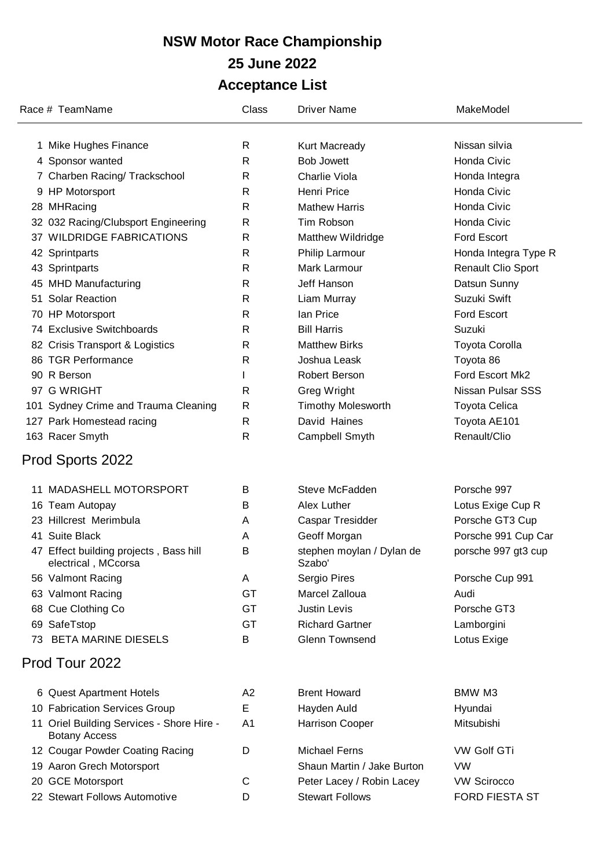|    | Race # TeamName                                                   | Class          | <b>Driver Name</b>                  | MakeModel                 |
|----|-------------------------------------------------------------------|----------------|-------------------------------------|---------------------------|
|    | 1 Mike Hughes Finance                                             | R              | Kurt Macready                       | Nissan silvia             |
|    | 4 Sponsor wanted                                                  | $\mathsf{R}$   | <b>Bob Jowett</b>                   | Honda Civic               |
|    | 7 Charben Racing/ Trackschool                                     | $\mathsf{R}$   | Charlie Viola                       | Honda Integra             |
|    | 9 HP Motorsport                                                   | R              | <b>Henri Price</b>                  | Honda Civic               |
|    | 28 MHRacing                                                       | $\mathsf{R}$   | <b>Mathew Harris</b>                | Honda Civic               |
|    | 32 032 Racing/Clubsport Engineering                               | $\mathsf{R}$   | Tim Robson                          | Honda Civic               |
|    | 37 WILDRIDGE FABRICATIONS                                         | $\mathsf{R}$   | Matthew Wildridge                   | Ford Escort               |
|    | 42 Sprintparts                                                    | R              | Philip Larmour                      | Honda Integra Type R      |
|    | 43 Sprintparts                                                    | R              | Mark Larmour                        | <b>Renault Clio Sport</b> |
|    | 45 MHD Manufacturing                                              | R              | Jeff Hanson                         | Datsun Sunny              |
|    | 51 Solar Reaction                                                 | R              | Liam Murray                         | Suzuki Swift              |
|    | 70 HP Motorsport                                                  | R              | lan Price                           | <b>Ford Escort</b>        |
|    | 74 Exclusive Switchboards                                         | R              | <b>Bill Harris</b>                  | Suzuki                    |
|    | 82 Crisis Transport & Logistics                                   | R              | <b>Matthew Birks</b>                | <b>Toyota Corolla</b>     |
|    | 86 TGR Performance                                                | R              | Joshua Leask                        | Toyota 86                 |
|    | 90 R Berson                                                       |                | Robert Berson                       | Ford Escort Mk2           |
|    | 97 G WRIGHT                                                       | R              | Greg Wright                         | Nissan Pulsar SSS         |
|    | 101 Sydney Crime and Trauma Cleaning                              | R              | <b>Timothy Molesworth</b>           | <b>Toyota Celica</b>      |
|    | 127 Park Homestead racing                                         | R              | David Haines                        | Toyota AE101              |
|    | 163 Racer Smyth                                                   | R              | Campbell Smyth                      | Renault/Clio              |
|    | Prod Sports 2022                                                  |                |                                     |                           |
|    | 11 MADASHELL MOTORSPORT                                           | B              | Steve McFadden                      | Porsche 997               |
|    | 16 Team Autopay                                                   | B              | Alex Luther                         | Lotus Exige Cup R         |
|    | 23 Hillcrest Merimbula                                            | A              | Caspar Tresidder                    | Porsche GT3 Cup           |
|    | 41 Suite Black                                                    | A              | Geoff Morgan                        | Porsche 991 Cup Car       |
|    | 47 Effect building projects, Bass hill<br>electrical, MCcorsa     | В              | stephen moylan / Dylan de<br>Szabo' | porsche 997 gt3 cup       |
|    | 56 Valmont Racing                                                 | A              | Sergio Pires                        | Porsche Cup 991           |
|    | 63 Valmont Racing                                                 | <b>GT</b>      | Marcel Zalloua                      | Audi                      |
|    | 68 Cue Clothing Co                                                | GT             | <b>Justin Levis</b>                 | Porsche GT3               |
|    | 69 SafeTstop                                                      | GT             | <b>Richard Gartner</b>              | Lamborgini                |
| 73 | <b>BETA MARINE DIESELS</b>                                        | B              | <b>Glenn Townsend</b>               | Lotus Exige               |
|    | Prod Tour 2022                                                    |                |                                     |                           |
|    | 6 Quest Apartment Hotels                                          | A <sub>2</sub> | <b>Brent Howard</b>                 | BMW M3                    |
|    | 10 Fabrication Services Group                                     | E              | Hayden Auld                         | Hyundai                   |
|    | 11 Oriel Building Services - Shore Hire -<br><b>Botany Access</b> | A <sub>1</sub> | Harrison Cooper                     | Mitsubishi                |
|    | 12 Cougar Powder Coating Racing                                   | D              | <b>Michael Ferns</b>                | <b>VW Golf GTi</b>        |
|    | 19 Aaron Grech Motorsport                                         |                | Shaun Martin / Jake Burton          | VW                        |
|    | 20 GCE Motorsport                                                 | С              | Peter Lacey / Robin Lacey           | <b>VW Scirocco</b>        |
|    | 22 Stewart Follows Automotive                                     | D              | <b>Stewart Follows</b>              | FORD FIESTA ST            |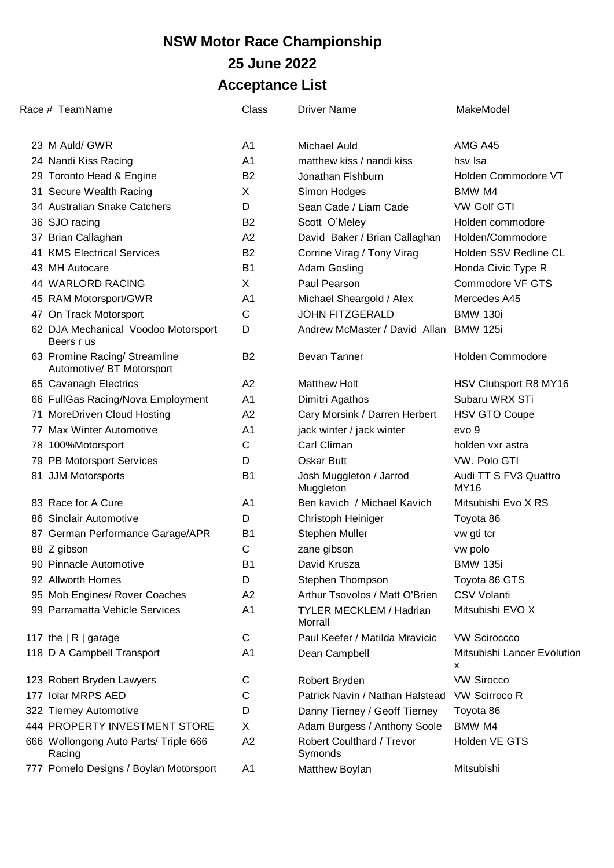| Race # TeamName                                            | Class          | <b>Driver Name</b>                        | MakeModel                            |
|------------------------------------------------------------|----------------|-------------------------------------------|--------------------------------------|
| 23 M Auld/ GWR                                             | A <sub>1</sub> | <b>Michael Auld</b>                       | AMG A45                              |
| 24 Nandi Kiss Racing                                       | A <sub>1</sub> | matthew kiss / nandi kiss                 | hsv Isa                              |
| 29 Toronto Head & Engine                                   | <b>B2</b>      | Jonathan Fishburn                         | Holden Commodore VT                  |
| 31 Secure Wealth Racing                                    | X              | Simon Hodges                              | BMW M4                               |
| 34 Australian Snake Catchers                               | D              | Sean Cade / Liam Cade                     | <b>VW Golf GTI</b>                   |
| 36 SJO racing                                              | <b>B2</b>      | Scott O'Meley                             | Holden commodore                     |
| 37 Brian Callaghan                                         | A2             | David Baker / Brian Callaghan             | Holden/Commodore                     |
| 41 KMS Electrical Services                                 | <b>B2</b>      | Corrine Virag / Tony Virag                | Holden SSV Redline CL                |
| 43 MH Autocare                                             | B <sub>1</sub> | Adam Gosling                              | Honda Civic Type R                   |
| 44 WARLORD RACING                                          | X              | Paul Pearson                              | Commodore VF GTS                     |
| 45 RAM Motorsport/GWR                                      | A <sub>1</sub> | Michael Sheargold / Alex                  | Mercedes A45                         |
| 47 On Track Motorsport                                     | C              | <b>JOHN FITZGERALD</b>                    | <b>BMW 130i</b>                      |
| 62 DJA Mechanical Voodoo Motorsport<br>Beers r us          | D              | Andrew McMaster / David Allan             | <b>BMW 125i</b>                      |
| 63 Promine Racing/ Streamline<br>Automotive/ BT Motorsport | B <sub>2</sub> | <b>Bevan Tanner</b>                       | <b>Holden Commodore</b>              |
| 65 Cavanagh Electrics                                      | A2             | <b>Matthew Holt</b>                       | HSV Clubsport R8 MY16                |
| 66 FullGas Racing/Nova Employment                          | A <sub>1</sub> | Dimitri Agathos                           | Subaru WRX STi                       |
| 71 MoreDriven Cloud Hosting                                | A2             | Cary Morsink / Darren Herbert             | <b>HSV GTO Coupe</b>                 |
| 77 Max Winter Automotive                                   | A <sub>1</sub> | jack winter / jack winter                 | evo <sub>9</sub>                     |
| 78 100%Motorsport                                          | C              | Carl Climan                               | holden vxr astra                     |
| 79 PB Motorsport Services                                  | D              | Oskar Butt                                | VW. Polo GTI                         |
| 81 JJM Motorsports                                         | B <sub>1</sub> | Josh Muggleton / Jarrod<br>Muggleton      | Audi TT S FV3 Quattro<br><b>MY16</b> |
| 83 Race for A Cure                                         | A <sub>1</sub> | Ben kavich / Michael Kavich               | Mitsubishi Evo X RS                  |
| 86 Sinclair Automotive                                     | D              | Christoph Heiniger                        | Toyota 86                            |
| 87 German Performance Garage/APR                           | <b>B1</b>      | Stephen Muller                            | vw gti tcr                           |
| 88 Z gibson                                                | C              | zane gibson                               | vw polo                              |
| 90 Pinnacle Automotive                                     | B <sub>1</sub> | David Krusza                              | <b>BMW 135i</b>                      |
| 92 Allworth Homes                                          | D              | Stephen Thompson                          | Toyota 86 GTS                        |
| 95 Mob Engines/ Rover Coaches                              | A2             | Arthur Tsovolos / Matt O'Brien            | <b>CSV Volanti</b>                   |
| 99 Parramatta Vehicle Services                             | A <sub>1</sub> | <b>TYLER MECKLEM / Hadrian</b><br>Morrall | Mitsubishi EVO X                     |
| 117 the $ R $ garage                                       | C              | Paul Keefer / Matilda Mravicic            | <b>VW Sciroccco</b>                  |
| 118 D A Campbell Transport                                 | A <sub>1</sub> | Dean Campbell                             | Mitsubishi Lancer Evolution<br>x     |
| 123 Robert Bryden Lawyers                                  | C              | Robert Bryden                             | <b>VW Sirocco</b>                    |
| 177 Iolar MRPS AED                                         | C              | Patrick Navin / Nathan Halstead           | <b>VW Scirroco R</b>                 |
| 322 Tierney Automotive                                     | D              | Danny Tierney / Geoff Tierney             | Toyota 86                            |
| 444 PROPERTY INVESTMENT STORE                              | X              | Adam Burgess / Anthony Soole              | BMW M4                               |
| 666 Wollongong Auto Parts/ Triple 666<br>Racing            | A2             | Robert Coulthard / Trevor<br>Symonds      | Holden VE GTS                        |
| 777 Pomelo Designs / Boylan Motorsport                     | A <sub>1</sub> | Matthew Boylan                            | Mitsubishi                           |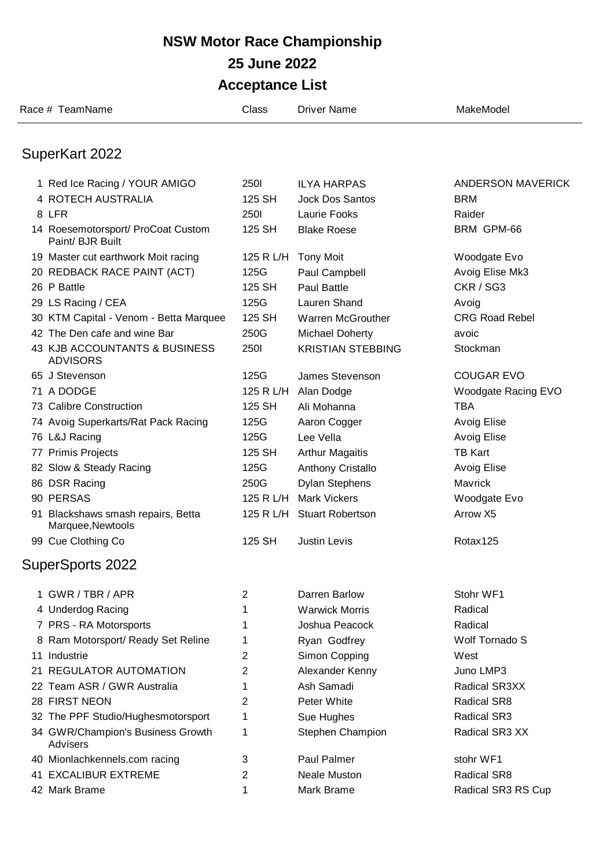|    | Race # TeamName                                         | Class          | <b>Driver Name</b>         | MakeModel             |
|----|---------------------------------------------------------|----------------|----------------------------|-----------------------|
|    | SuperKart 2022                                          |                |                            |                       |
|    | 1 Red Ice Racing / YOUR AMIGO                           | <b>250I</b>    | <b>ILYA HARPAS</b>         | ANDERSON MAVERICK     |
|    | 4 ROTECH AUSTRALIA                                      | 125 SH         | <b>Jock Dos Santos</b>     | <b>BRM</b>            |
|    | 8 LFR                                                   | <b>2501</b>    | Laurie Fooks               | Raider                |
|    | 14 Roesemotorsport/ ProCoat Custom<br>Paint/ BJR Built  | 125 SH         | <b>Blake Roese</b>         | BRM GPM-66            |
|    | 19 Master cut earthwork Moit racing                     | 125 R L/H      | <b>Tony Moit</b>           | Woodgate Evo          |
|    | 20 REDBACK RACE PAINT (ACT)                             | 125G           | Paul Campbell              | Avoig Elise Mk3       |
|    | 26 P Battle                                             | 125 SH         | <b>Paul Battle</b>         | CKR / SG3             |
|    | 29 LS Racing / CEA                                      | 125G           | Lauren Shand               | Avoig                 |
|    | 30 KTM Capital - Venom - Betta Marquee                  | 125 SH         | Warren McGrouther          | <b>CRG Road Rebel</b> |
|    | 42 The Den cafe and wine Bar                            | 250G           | <b>Michael Doherty</b>     | avoic                 |
|    | 43 KJB ACCOUNTANTS & BUSINESS<br><b>ADVISORS</b>        | <b>2501</b>    | <b>KRISTIAN STEBBING</b>   | Stockman              |
|    | 65 J Stevenson                                          | 125G           | James Stevenson            | <b>COUGAR EVO</b>     |
|    | 71 A DODGE                                              |                | 125 R L/H Alan Dodge       | Woodgate Racing EVO   |
|    | 73 Calibre Construction                                 | 125 SH         | Ali Mohanna                | <b>TBA</b>            |
|    | 74 Avoig Superkarts/Rat Pack Racing                     | 125G           | Aaron Cogger               | <b>Avoig Elise</b>    |
|    | 76 L&J Racing                                           | 125G           | Lee Vella                  | <b>Avoig Elise</b>    |
|    | 77 Primis Projects                                      | 125 SH         | <b>Arthur Magaitis</b>     | <b>TB Kart</b>        |
|    | 82 Slow & Steady Racing                                 | 125G           | Anthony Cristallo          | <b>Avoig Elise</b>    |
|    | 86 DSR Racing                                           | 250G           | <b>Dylan Stephens</b>      | <b>Mavrick</b>        |
|    | 90 PERSAS                                               |                | 125 R L/H Mark Vickers     | Woodgate Evo          |
|    | 91 Blackshaws smash repairs, Betta<br>Marquee, Newtools |                | 125 R L/H Stuart Robertson | Arrow X5              |
|    | 99 Cue Clothing Co                                      | 125 SH         | <b>Justin Levis</b>        | Rotax125              |
|    | <b>SuperSports 2022</b>                                 |                |                            |                       |
|    | 1 GWR / TBR / APR                                       | 2              | Darren Barlow              | Stohr WF1             |
|    | 4 Underdog Racing                                       | 1              | <b>Warwick Morris</b>      | Radical               |
|    | 7 PRS - RA Motorsports                                  | 1              | Joshua Peacock             | Radical               |
| 8  | Ram Motorsport/ Ready Set Reline                        | 1              | Ryan Godfrey               | Wolf Tornado S        |
|    | 11 Industrie                                            | 2              | Simon Copping              | West                  |
| 21 | <b>REGULATOR AUTOMATION</b>                             | $\overline{2}$ | Alexander Kenny            | Juno LMP3             |
|    | 22 Team ASR / GWR Australia                             | 1              | Ash Samadi                 | Radical SR3XX         |
|    | 28 FIRST NEON                                           | 2              | Peter White                | <b>Radical SR8</b>    |
|    | 32 The PPF Studio/Hughesmotorsport                      | 1              | Sue Hughes                 | <b>Radical SR3</b>    |
|    | 34 GWR/Champion's Business Growth<br>Advisers           | 1              | Stephen Champion           | Radical SR3 XX        |
|    | 40 Mionlachkennels.com racing                           | 3              | Paul Palmer                | stohr WF1             |
|    | <b>41 EXCALIBUR EXTREME</b>                             | 2              | <b>Neale Muston</b>        | <b>Radical SR8</b>    |
|    | 42 Mark Brame                                           | 1              | Mark Brame                 | Radical SR3 RS Cup    |